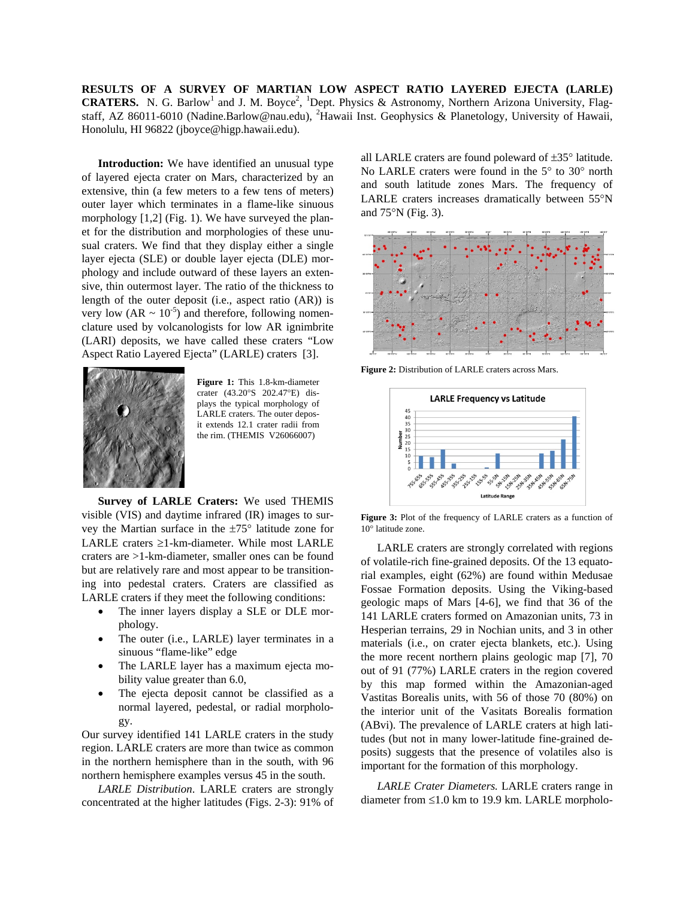**RESULTS OF A SURVEY OF MARTIAN LOW ASPECT RATIO LAYERED EJECTA (LARLE)**  CRATERS. N. G. Barlow<sup>1</sup> and J. M. Boyce<sup>2</sup>, <sup>1</sup>Dept. Physics & Astronomy, Northern Arizona University, Flagstaff, AZ 86011-6010 (Nadine.Barlow@nau.edu), <sup>2</sup>Hawaii Inst. Geophysics & Planetology, University of Hawaii, Honolulu, HI 96822 (jboyce@higp.hawaii.edu).

**Introduction:** We have identified an unusual type of layered ejecta crater on Mars, characterized by an extensive, thin (a few meters to a few tens of meters) outer layer which terminates in a flame-like sinuous morphology [1,2] (Fig. 1). We have surveyed the planet for the distribution and morphologies of these unusual craters. We find that they display either a single layer ejecta (SLE) or double layer ejecta (DLE) morphology and include outward of these layers an extensive, thin outermost layer. The ratio of the thickness to length of the outer deposit (i.e., aspect ratio (AR)) is very low  $(AR \sim 10^{-5})$  and therefore, following nomenclature used by volcanologists for low AR ignimbrite (LARI) deposits, we have called these craters "Low Aspect Ratio Layered Ejecta" (LARLE) craters [3].



**Figure 1:** This 1.8-km-diameter crater (43.20°S 202.47°E) displays the typical morphology of LARLE craters. The outer deposit extends 12.1 crater radii from the rim. (THEMIS V26066007)

**Survey of LARLE Craters:** We used THEMIS visible (VIS) and daytime infrared (IR) images to survey the Martian surface in the ±75° latitude zone for LARLE craters ≥1-km-diameter. While most LARLE craters are >1-km-diameter, smaller ones can be found but are relatively rare and most appear to be transitioning into pedestal craters. Craters are classified as LARLE craters if they meet the following conditions:

- The inner layers display a SLE or DLE morphology.
- The outer (i.e., LARLE) layer terminates in a sinuous "flame-like" edge
- The LARLE layer has a maximum ejecta mobility value greater than 6.0,
- The ejecta deposit cannot be classified as a normal layered, pedestal, or radial morphology.

Our survey identified 141 LARLE craters in the study region. LARLE craters are more than twice as common in the northern hemisphere than in the south, with 96 northern hemisphere examples versus 45 in the south.

*LARLE Distribution*. LARLE craters are strongly concentrated at the higher latitudes (Figs. 2-3): 91% of

all LARLE craters are found poleward of ±35° latitude. No LARLE craters were found in the 5° to 30° north and south latitude zones Mars. The frequency of LARLE craters increases dramatically between 55°N and 75°N (Fig. 3).



**Figure 2:** Distribution of LARLE craters across Mars.



**Figure 3:** Plot of the frequency of LARLE craters as a function of 10° latitude zone.

LARLE craters are strongly correlated with regions of volatile-rich fine-grained deposits. Of the 13 equatorial examples, eight (62%) are found within Medusae Fossae Formation deposits. Using the Viking-based geologic maps of Mars [4-6], we find that 36 of the 141 LARLE craters formed on Amazonian units, 73 in Hesperian terrains, 29 in Nochian units, and 3 in other materials (i.e., on crater ejecta blankets, etc.). Using the more recent northern plains geologic map [7], 70 out of 91 (77%) LARLE craters in the region covered by this map formed within the Amazonian-aged Vastitas Borealis units, with 56 of those 70 (80%) on the interior unit of the Vasitats Borealis formation (ABvi). The prevalence of LARLE craters at high latitudes (but not in many lower-latitude fine-grained deposits) suggests that the presence of volatiles also is important for the formation of this morphology.

*LARLE Crater Diameters.* LARLE craters range in diameter from ≤1.0 km to 19.9 km. LARLE morpholo